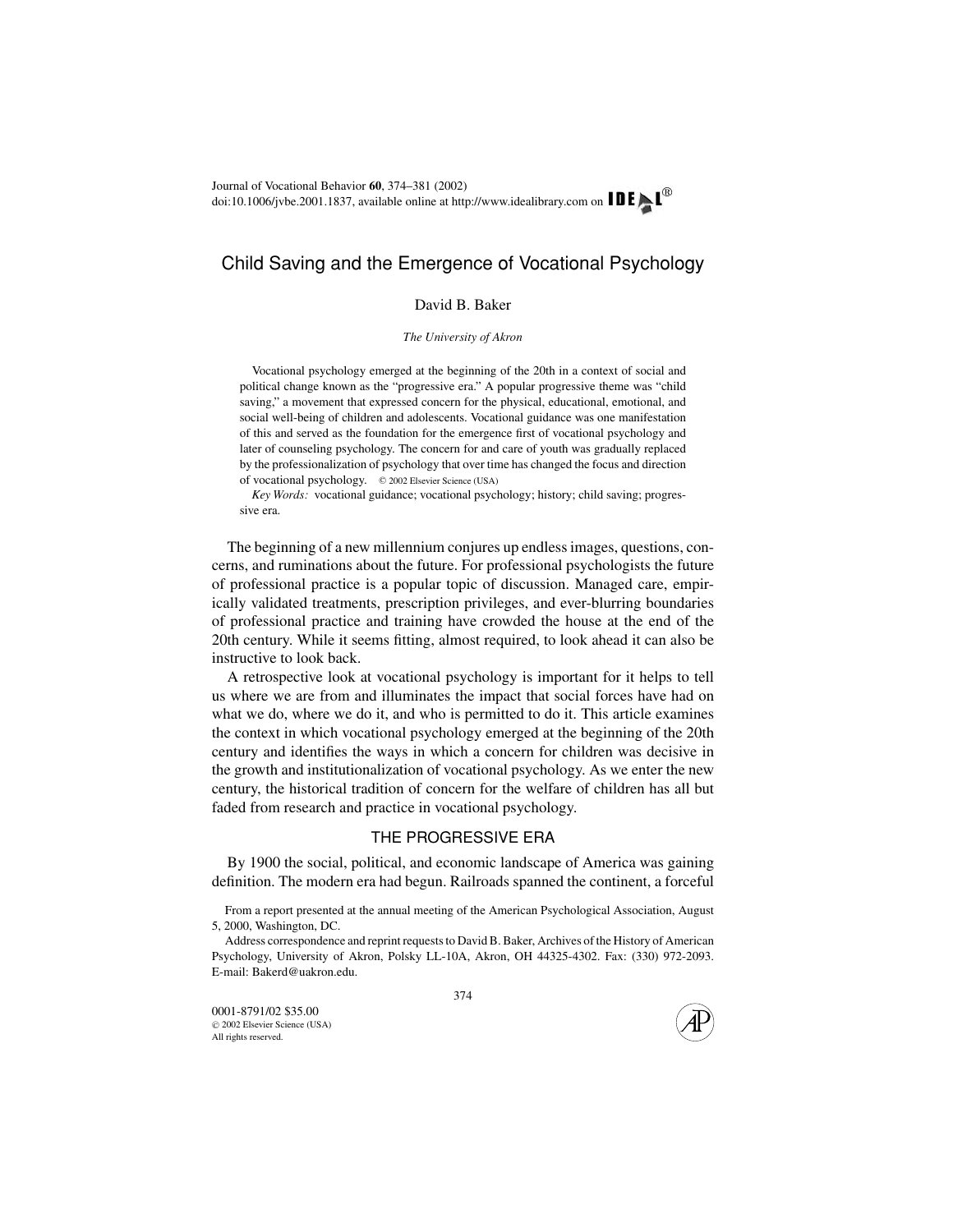## Child Saving and the Emergence of Vocational Psychology

David B. Baker

*The University of Akron*

Vocational psychology emerged at the beginning of the 20th in a context of social and political change known as the "progressive era." A popular progressive theme was "child saving," a movement that expressed concern for the physical, educational, emotional, and social well-being of children and adolescents. Vocational guidance was one manifestation of this and served as the foundation for the emergence first of vocational psychology and later of counseling psychology. The concern for and care of youth was gradually replaced by the professionalization of psychology that over time has changed the focus and direction of vocational psychology. © 2002 Elsevier Science (USA)

*Key Words:* vocational guidance; vocational psychology; history; child saving; progressive era.

The beginning of a new millennium conjures up endless images, questions, concerns, and ruminations about the future. For professional psychologists the future of professional practice is a popular topic of discussion. Managed care, empirically validated treatments, prescription privileges, and ever-blurring boundaries of professional practice and training have crowded the house at the end of the 20th century. While it seems fitting, almost required, to look ahead it can also be instructive to look back.

A retrospective look at vocational psychology is important for it helps to tell us where we are from and illuminates the impact that social forces have had on what we do, where we do it, and who is permitted to do it. This article examines the context in which vocational psychology emerged at the beginning of the 20th century and identifies the ways in which a concern for children was decisive in the growth and institutionalization of vocational psychology. As we enter the new century, the historical tradition of concern for the welfare of children has all but faded from research and practice in vocational psychology.

## THE PROGRESSIVE ERA

By 1900 the social, political, and economic landscape of America was gaining definition. The modern era had begun. Railroads spanned the continent, a forceful

From a report presented at the annual meeting of the American Psychological Association, August 5, 2000, Washington, DC.

Address correspondence and reprint requests to David B. Baker, Archives of the History of American Psychology, University of Akron, Polsky LL-10A, Akron, OH 44325-4302. Fax: (330) 972-2093. E-mail: Bakerd@uakron.edu.

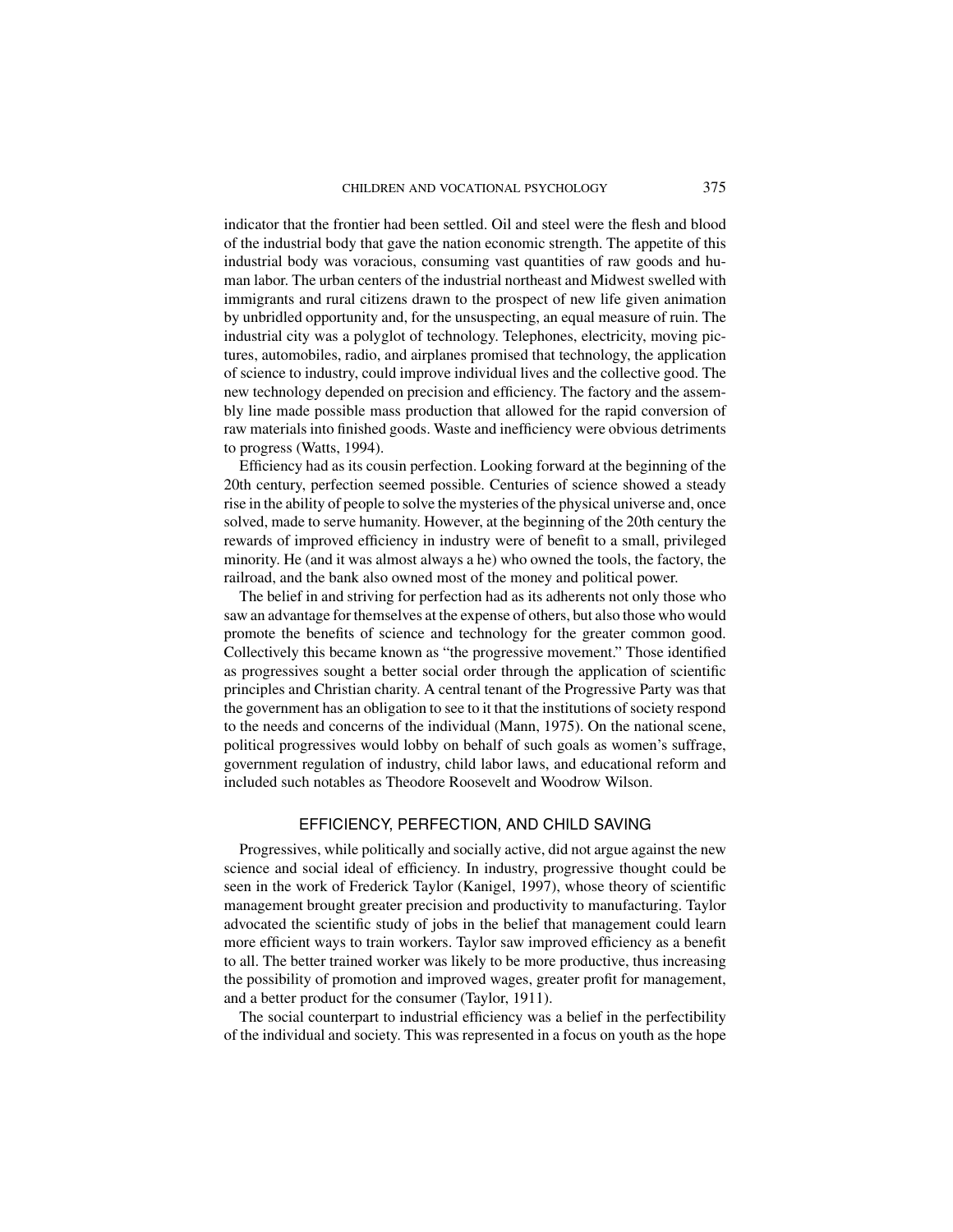indicator that the frontier had been settled. Oil and steel were the flesh and blood of the industrial body that gave the nation economic strength. The appetite of this industrial body was voracious, consuming vast quantities of raw goods and human labor. The urban centers of the industrial northeast and Midwest swelled with immigrants and rural citizens drawn to the prospect of new life given animation by unbridled opportunity and, for the unsuspecting, an equal measure of ruin. The industrial city was a polyglot of technology. Telephones, electricity, moving pictures, automobiles, radio, and airplanes promised that technology, the application of science to industry, could improve individual lives and the collective good. The new technology depended on precision and efficiency. The factory and the assembly line made possible mass production that allowed for the rapid conversion of raw materials into finished goods. Waste and inefficiency were obvious detriments to progress (Watts, 1994).

Efficiency had as its cousin perfection. Looking forward at the beginning of the 20th century, perfection seemed possible. Centuries of science showed a steady rise in the ability of people to solve the mysteries of the physical universe and, once solved, made to serve humanity. However, at the beginning of the 20th century the rewards of improved efficiency in industry were of benefit to a small, privileged minority. He (and it was almost always a he) who owned the tools, the factory, the railroad, and the bank also owned most of the money and political power.

The belief in and striving for perfection had as its adherents not only those who saw an advantage for themselves at the expense of others, but also those who would promote the benefits of science and technology for the greater common good. Collectively this became known as "the progressive movement." Those identified as progressives sought a better social order through the application of scientific principles and Christian charity. A central tenant of the Progressive Party was that the government has an obligation to see to it that the institutions of society respond to the needs and concerns of the individual (Mann, 1975). On the national scene, political progressives would lobby on behalf of such goals as women's suffrage, government regulation of industry, child labor laws, and educational reform and included such notables as Theodore Roosevelt and Woodrow Wilson.

## EFFICIENCY, PERFECTION, AND CHILD SAVING

Progressives, while politically and socially active, did not argue against the new science and social ideal of efficiency. In industry, progressive thought could be seen in the work of Frederick Taylor (Kanigel, 1997), whose theory of scientific management brought greater precision and productivity to manufacturing. Taylor advocated the scientific study of jobs in the belief that management could learn more efficient ways to train workers. Taylor saw improved efficiency as a benefit to all. The better trained worker was likely to be more productive, thus increasing the possibility of promotion and improved wages, greater profit for management, and a better product for the consumer (Taylor, 1911).

The social counterpart to industrial efficiency was a belief in the perfectibility of the individual and society. This was represented in a focus on youth as the hope